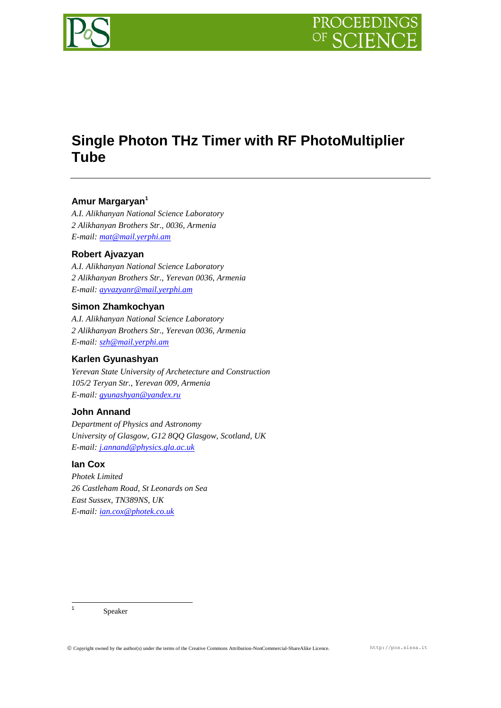

# **Single Photon THz Timer with RF PhotoMultiplier Tube**

# **Amur Margaryan<sup>1</sup>**

*A.I. Alikhanyan National Science Laboratory 2 Alikhanyan Brothers Str., 0036, Armenia E-mail: [mat@mail.yerphi.am](mailto:first.mat@mail.yerphi.am)*

## **Robert Ajvazyan**

*A.I. Alikhanyan National Science Laboratory 2 Alikhanyan Brothers Str., Yerevan 0036, Armenia E-mail: [ayvazyanr@mail.yerphi.am](mailto:ayvazyanr@mail.yerphi.am)*

## **Simon Zhamkochyan**

*A.I. Alikhanyan National Science Laboratory 2 Alikhanyan Brothers Str., Yerevan 0036, Armenia E-mail: [szh@mail.yerphi.am](mailto:szh@mail.yerphi.am)*

# **Karlen Gyunashyan**

*Yerevan State University of Archetecture and Construction 105/2 Teryan Str., Yerevan 009, Armenia E-mail: [gyunashyan@yandex.ru](mailto:gyunashyan@yandex.ru)*

## **John Annand**

*Department of Physics and Astronomy University of Glasgow, G12 8QQ Glasgow, Scotland, UK E-mail: [j.annand@physics.gla.ac.uk](mailto:j.annand@physics.gla.ac.uk)*

# **Ian Cox**

*Photek Limited 26 Castleham Road, St Leonards on Sea East Sussex, TN389NS, UK E-mail: [ian.cox@photek.co.uk](mailto:ian.cox@photek.co.uk)*

|<br>1 Speaker

Copyright owned by the author(s) under the terms of the Creative Commons Attribution-NonCommercial-ShareAlike Licence. http://pos.sissa.it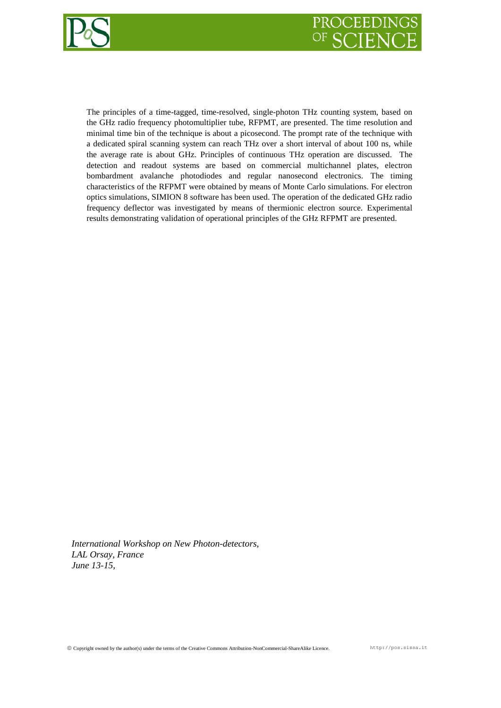



The principles of a time-tagged, time-resolved, single-photon THz counting system, based on the GHz radio frequency photomultiplier tube, RFPMT, are presented. The time resolution and minimal time bin of the technique is about a picosecond. The prompt rate of the technique with a dedicated spiral scanning system can reach THz over a short interval of about 100 ns, while the average rate is about GHz. Principles of continuous THz operation are discussed. The detection and readout systems are based on commercial multichannel plates, electron bombardment avalanche photodiodes and regular nanosecond electronics. The timing characteristics of the RFPMT were obtained by means of Monte Carlo simulations. For electron optics simulations, SIMION 8 software has been used. The operation of the dedicated GHz radio frequency deflector was investigated by means of thermionic electron source. Experimental results demonstrating validation of operational principles of the GHz RFPMT are presented.

*International Workshop on New Photon-detectors, LAL Orsay, France June 13-15,*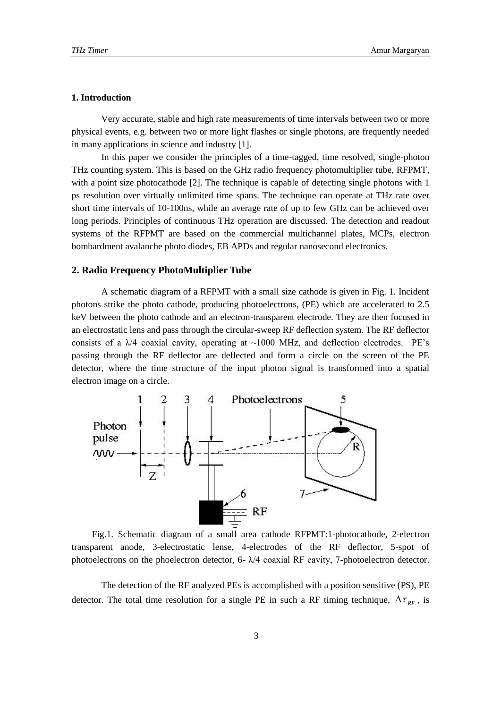## **1. Introduction**

Very accurate, stable and high rate measurements of time intervals between two or more physical events, e.g. between two or more light flashes or single photons, are frequently needed in many applications in science and industry [1].

In this paper we consider the principles of a time-tagged, time resolved, single-photon THz counting system. This is based on the GHz radio frequency photomultiplier tube, RFPMT, with a point size photocathode [2]. The technique is capable of detecting single photons with 1 ps resolution over virtually unlimited time spans. The technique can operate at THz rate over short time intervals of 10-100ns, while an average rate of up to few GHz can be achieved over long periods. Principles of continuous THz operation are discussed. The detection and readout systems of the RFPMT are based on the commercial multichannel plates, MCPs, electron bombardment avalanche photo diodes, EB APDs and regular nanosecond electronics.

## **2. Radio Frequency PhotoMultiplier Tube**

A schematic diagram of a RFPMT with a small size cathode is given in Fig. 1. Incident photons strike the photo cathode, producing photoelectrons, (PE) which are accelerated to 2.5 keV between the photo cathode and an electron-transparent electrode. They are then focused in an electrostatic lens and pass through the circular-sweep RF deflection system. The RF deflector consists of a  $\lambda$ /4 coaxial cavity, operating at ~1000 MHz, and deflection electrodes. PE's passing through the RF deflector are deflected and form a circle on the screen of the PE detector, where the time structure of the input photon signal is transformed into a spatial electron image on a circle.



Fig.1. Schematic diagram of a small area cathode RFPMT:1-photocathode, 2-electron transparent anode, 3-electrostatic lense, 4-electrodes of the RF deflector, 5-spot of photoelectrons on the phoelectron detector, 6- λ/4 coaxial RF cavity, 7-photoelectron detector.

The detection of the RF analyzed PEs is accomplished with a position sensitive (PS), PE detector. The total time resolution for a single PE in such a RF timing technique,  $\Delta \tau_{RF}$ , is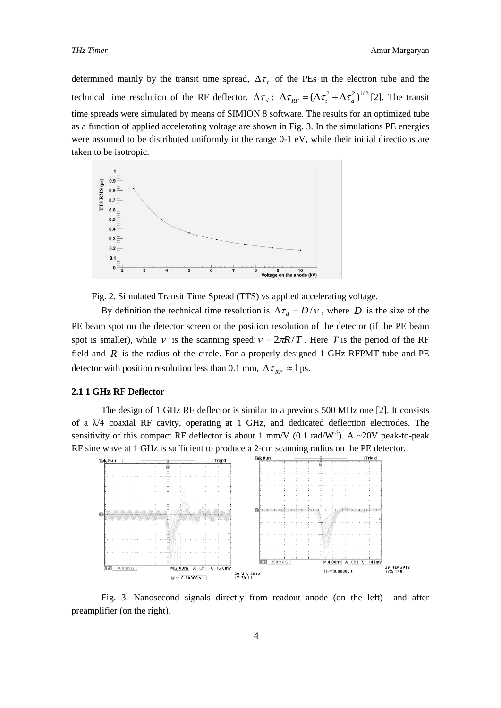determined mainly by the transit time spread,  $\Delta \tau$ , of the PEs in the electron tube and the technical time resolution of the RF deflector,  $\Delta \tau_{d}$ :  $\Delta \tau_{RF} = (\Delta \tau_{t}^{2} + \Delta \tau_{d}^{2})^{1/2}$  [2]. The transit time spreads were simulated by means of SIMION 8 software. The results for an optimized tube as a function of applied accelerating voltage are shown in Fig. 3. In the simulations PE energies were assumed to be distributed uniformly in the range 0-1 eV, while their initial directions are taken to be isotropic.



Fig. 2. Simulated Transit Time Spread (TTS) vs applied accelerating voltage.

By definition the technical time resolution is  $\Delta \tau_d = D/V$ , where D is the size of the PE beam spot on the detector screen or the position resolution of the detector (if the PE beam spot is smaller), while  $V$  is the scanning speed:  $V = 2\pi R/T$ . Here T is the period of the RF field and  $R$  is the radius of the circle. For a properly designed 1 GHz RFPMT tube and PE detector with position resolution less than 0.1 mm,  $\Delta \tau_{RF} \approx 1$  ps.

#### **2.1 1 GHz RF Deflector**

The design of 1 GHz RF deflector is similar to a previous 500 MHz one [2]. It consists of a λ/4 coaxial RF cavity, operating at 1 GHz, and dedicated deflection electrodes. The sensitivity of this compact RF deflector is about 1 mm/V (0.1 rad/W<sup>1/2</sup>). A ~20V peak-to-peak RF sine wave at 1 GHz is sufficient to produce a 2-cm scanning radius on the PE detector.



Fig. 3. Nanosecond signals directly from readout anode (on the left) and after preamplifier (on the right).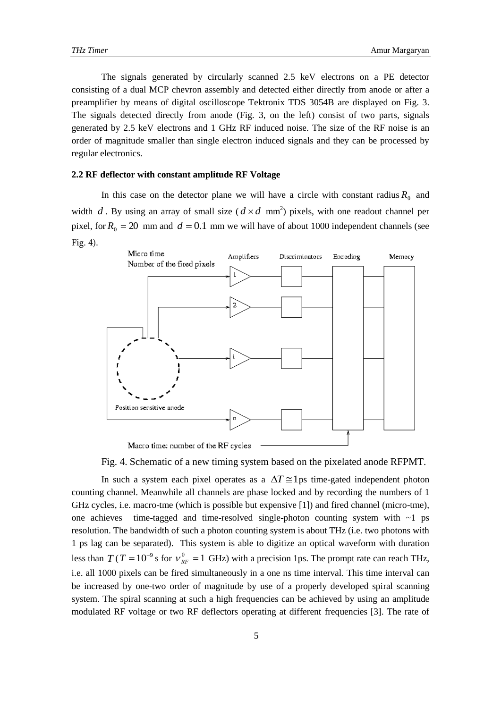The signals generated by circularly scanned 2.5 keV electrons on a PE detector consisting of a dual MCP chevron assembly and detected either directly from anode or after a preamplifier by means of digital oscilloscope Tektronix TDS 3054B are displayed on Fig. 3. The signals detected directly from anode (Fig. 3, on the left) consist of two parts, signals generated by 2.5 keV electrons and 1 GHz RF induced noise. The size of the RF noise is an order of magnitude smaller than single electron induced signals and they can be processed by regular electronics.

#### **2.2 RF deflector with constant amplitude RF Voltage**

In this case on the detector plane we will have a circle with constant radius  $R_0$  and width d. By using an array of small size  $(d \times d \text{ mm}^2)$  pixels, with one readout channel per pixel, for  $R_0 = 20$  mm and  $d = 0.1$  mm we will have of about 1000 independent channels (see Fig. 4).



Fig. 4. Schematic of a new timing system based on the pixelated anode RFPMT.

In such a system each pixel operates as a  $\Delta T \approx 1$  ps time-gated independent photon counting channel. Meanwhile all channels are phase locked and by recording the numbers of 1 GHz cycles, i.e. macro-tme (which is possible but expensive [1]) and fired channel (micro-tme), one achieves time-tagged and time-resolved single-photon counting system with  $\sim$ 1 ps resolution. The bandwidth of such a photon counting system is about THz (i.e. two photons with 1 ps lag can be separated). This system is able to digitize an optical waveform with duration less than  $T(T=10^{-9}$  s for  $v_{RF}^{0} = 1$  GHz) with a precision 1ps. The prompt rate can reach THz, i.e. all 1000 pixels can be fired simultaneously in a one ns time interval. This time interval can be increased by one-two order of magnitude by use of a properly developed spiral scanning system. The spiral scanning at such a high frequencies can be achieved by using an amplitude modulated RF voltage or two RF deflectors operating at different frequencies [3]. The rate of